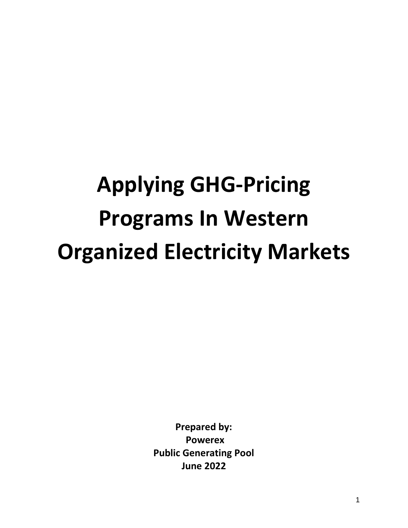# **Applying GHG-Pricing Programs In Western Organized Electricity Markets**

**Prepared by: Powerex Public Generating Pool June 2022**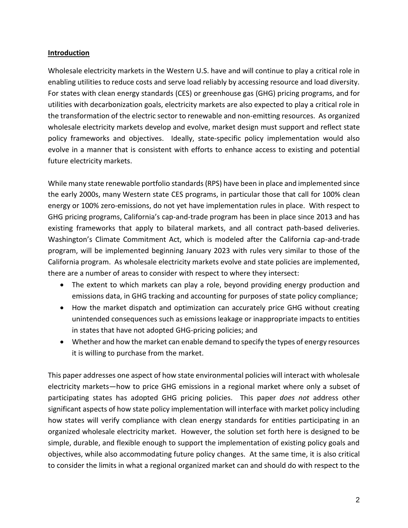#### **Introduction**

Wholesale electricity markets in the Western U.S. have and will continue to play a critical role in enabling utilities to reduce costs and serve load reliably by accessing resource and load diversity. For states with clean energy standards (CES) or greenhouse gas (GHG) pricing programs, and for utilities with decarbonization goals, electricity markets are also expected to play a critical role in the transformation of the electric sector to renewable and non-emitting resources. As organized wholesale electricity markets develop and evolve, market design must support and reflect state policy frameworks and objectives. Ideally, state-specific policy implementation would also evolve in a manner that is consistent with efforts to enhance access to existing and potential future electricity markets.

While many state renewable portfolio standards (RPS) have been in place and implemented since the early 2000s, many Western state CES programs, in particular those that call for 100% clean energy or 100% zero-emissions, do not yet have implementation rules in place. With respect to GHG pricing programs, California's cap-and-trade program has been in place since 2013 and has existing frameworks that apply to bilateral markets, and all contract path-based deliveries. Washington's Climate Commitment Act, which is modeled after the California cap-and-trade program, will be implemented beginning January 2023 with rules very similar to those of the California program. As wholesale electricity markets evolve and state policies are implemented, there are a number of areas to consider with respect to where they intersect:

- The extent to which markets can play a role, beyond providing energy production and emissions data, in GHG tracking and accounting for purposes of state policy compliance;
- How the market dispatch and optimization can accurately price GHG without creating unintended consequences such as emissions leakage or inappropriate impacts to entities in states that have not adopted GHG-pricing policies; and
- Whether and how the market can enable demand to specify the types of energy resources it is willing to purchase from the market.

This paper addresses one aspect of how state environmental policies will interact with wholesale electricity markets—how to price GHG emissions in a regional market where only a subset of participating states has adopted GHG pricing policies. This paper *does not* address other significant aspects of how state policy implementation will interface with market policy including how states will verify compliance with clean energy standards for entities participating in an organized wholesale electricity market. However, the solution set forth here is designed to be simple, durable, and flexible enough to support the implementation of existing policy goals and objectives, while also accommodating future policy changes. At the same time, it is also critical to consider the limits in what a regional organized market can and should do with respect to the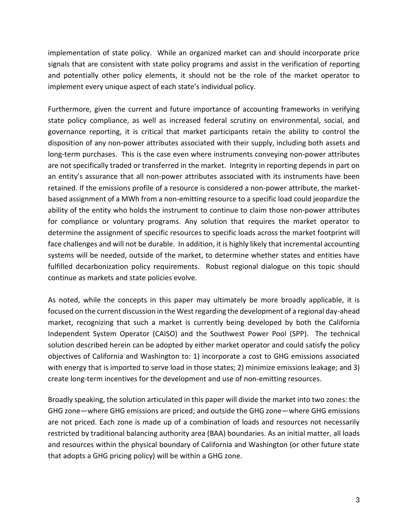implementation of state policy. While an organized market can and should incorporate price signals that are consistent with state policy programs and assist in the verification of reporting and potentially other policy elements, it should not be the role of the market operator to implement every unique aspect of each state's individual policy.

Furthermore, given the current and future importance of accounting frameworks in verifying state policy compliance, as well as increased federal scrutiny on environmental, social, and governance reporting, it is critical that market participants retain the ability to control the disposition of any non-power attributes associated with their supply, including both assets and long-term purchases. This is the case even where instruments conveying non-power attributes are not specifically traded or transferred in the market. Integrity in reporting depends in part on an entity's assurance that all non-power attributes associated with its instruments have been retained. If the emissions profile of a resource is considered a non-power attribute, the marketbased assignment of a MWh from a non-emitting resource to a specific load could jeopardize the ability of the entity who holds the instrument to continue to claim those non-power attributes for compliance or voluntary programs. Any solution that requires the market operator to determine the assignment of specific resources to specific loads across the market footprint will face challenges and will not be durable. In addition, it is highly likely that incremental accounting systems will be needed, outside of the market, to determine whether states and entities have fulfilled decarbonization policy requirements. Robust regional dialogue on this topic should continue as markets and state policies evolve.

As noted, while the concepts in this paper may ultimately be more broadly applicable, it is focused on the current discussion in the West regarding the development of a regional day-ahead market, recognizing that such a market is currently being developed by both the California Independent System Operator (CAISO) and the Southwest Power Pool (SPP). The technical solution described herein can be adopted by either market operator and could satisfy the policy objectives of California and Washington to: 1) incorporate a cost to GHG emissions associated with energy that is imported to serve load in those states; 2) minimize emissions leakage; and 3) create long-term incentives for the development and use of non-emitting resources.

Broadly speaking, the solution articulated in this paper will divide the market into two zones: the GHG zone—where GHG emissions are priced; and outside the GHG zone—where GHG emissions are not priced. Each zone is made up of a combination of loads and resources not necessarily restricted by traditional balancing authority area (BAA) boundaries. As an initial matter, all loads and resources within the physical boundary of California and Washington (or other future state that adopts a GHG pricing policy) will be within a GHG zone.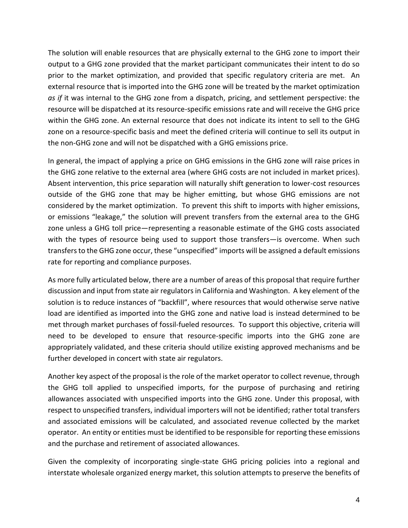The solution will enable resources that are physically external to the GHG zone to import their output to a GHG zone provided that the market participant communicates their intent to do so prior to the market optimization, and provided that specific regulatory criteria are met. An external resource that is imported into the GHG zone will be treated by the market optimization *as if* it was internal to the GHG zone from a dispatch, pricing, and settlement perspective: the resource will be dispatched at its resource-specific emissions rate and will receive the GHG price within the GHG zone. An external resource that does not indicate its intent to sell to the GHG zone on a resource-specific basis and meet the defined criteria will continue to sell its output in the non-GHG zone and will not be dispatched with a GHG emissions price.

In general, the impact of applying a price on GHG emissions in the GHG zone will raise prices in the GHG zone relative to the external area (where GHG costs are not included in market prices). Absent intervention, this price separation will naturally shift generation to lower-cost resources outside of the GHG zone that may be higher emitting, but whose GHG emissions are not considered by the market optimization. To prevent this shift to imports with higher emissions, or emissions "leakage," the solution will prevent transfers from the external area to the GHG zone unless a GHG toll price—representing a reasonable estimate of the GHG costs associated with the types of resource being used to support those transfers—is overcome. When such transfers to the GHG zone occur, these "unspecified" imports will be assigned a default emissions rate for reporting and compliance purposes.

As more fully articulated below, there are a number of areas of this proposal that require further discussion and input from state air regulators in California and Washington. A key element of the solution is to reduce instances of "backfill", where resources that would otherwise serve native load are identified as imported into the GHG zone and native load is instead determined to be met through market purchases of fossil-fueled resources. To support this objective, criteria will need to be developed to ensure that resource-specific imports into the GHG zone are appropriately validated, and these criteria should utilize existing approved mechanisms and be further developed in concert with state air regulators.

Another key aspect of the proposal is the role of the market operator to collect revenue, through the GHG toll applied to unspecified imports, for the purpose of purchasing and retiring allowances associated with unspecified imports into the GHG zone. Under this proposal, with respect to unspecified transfers, individual importers will not be identified; rather total transfers and associated emissions will be calculated, and associated revenue collected by the market operator. An entity or entities must be identified to be responsible for reporting these emissions and the purchase and retirement of associated allowances.

Given the complexity of incorporating single-state GHG pricing policies into a regional and interstate wholesale organized energy market, this solution attempts to preserve the benefits of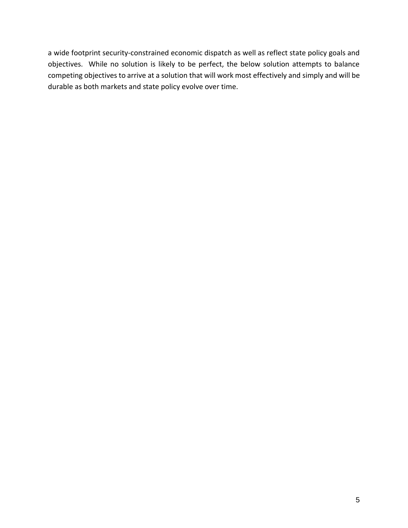a wide footprint security-constrained economic dispatch as well as reflect state policy goals and objectives. While no solution is likely to be perfect, the below solution attempts to balance competing objectives to arrive at a solution that will work most effectively and simply and will be durable as both markets and state policy evolve over time.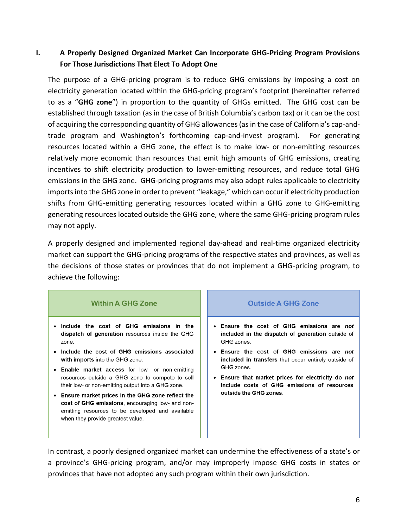# **I. A Properly Designed Organized Market Can Incorporate GHG-Pricing Program Provisions For Those Jurisdictions That Elect To Adopt One**

The purpose of a GHG-pricing program is to reduce GHG emissions by imposing a cost on electricity generation located within the GHG-pricing program's footprint (hereinafter referred to as a "**GHG zone**") in proportion to the quantity of GHGs emitted. The GHG cost can be established through taxation (as in the case of British Columbia's carbon tax) or it can be the cost of acquiring the corresponding quantity of GHG allowances (as in the case of California's cap-andtrade program and Washington's forthcoming cap-and-invest program). For generating resources located within a GHG zone, the effect is to make low- or non-emitting resources relatively more economic than resources that emit high amounts of GHG emissions, creating incentives to shift electricity production to lower-emitting resources, and reduce total GHG emissions in the GHG zone. GHG-pricing programs may also adopt rules applicable to electricity imports into the GHG zone in order to prevent "leakage," which can occur if electricity production shifts from GHG-emitting generating resources located within a GHG zone to GHG-emitting generating resources located outside the GHG zone, where the same GHG-pricing program rules may not apply.

A properly designed and implemented regional day-ahead and real-time organized electricity market can support the GHG-pricing programs of the respective states and provinces, as well as the decisions of those states or provinces that do not implement a GHG-pricing program, to achieve the following:

| <b>Within A GHG Zone</b>                                                                                                                                                                      | <b>Outside A GHG Zone</b>                                                                                        |
|-----------------------------------------------------------------------------------------------------------------------------------------------------------------------------------------------|------------------------------------------------------------------------------------------------------------------|
| Include the cost of GHG emissions in the<br>dispatch of generation resources inside the GHG<br>zone.                                                                                          | • Ensure the cost of GHG emissions are not<br>included in the dispatch of generation outside of<br>GHG zones.    |
| Include the cost of GHG emissions associated<br>with imports into the GHG zone.                                                                                                               | • Ensure the cost of GHG emissions are not<br>included in transfers that occur entirely outside of<br>GHG zones. |
| • Enable market access for low- or non-emitting<br>resources outside a GHG zone to compete to sell<br>their low- or non-emitting output into a GHG zone.                                      | Ensure that market prices for electricity do not<br>include costs of GHG emissions of resources                  |
| Ensure market prices in the GHG zone reflect the<br>cost of GHG emissions, encouraging low- and non-<br>emitting resources to be developed and available<br>when they provide greatest value. | outside the GHG zones.                                                                                           |

In contrast, a poorly designed organized market can undermine the effectiveness of a state's or a province's GHG-pricing program, and/or may improperly impose GHG costs in states or provinces that have not adopted any such program within their own jurisdiction.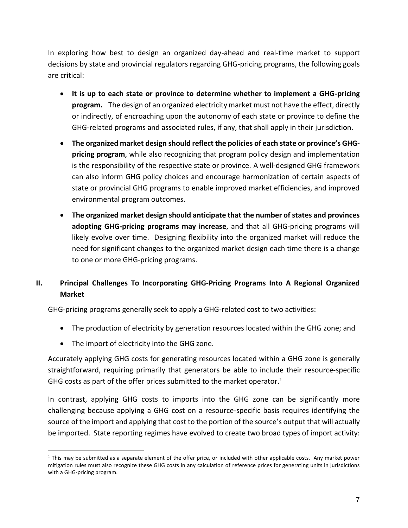In exploring how best to design an organized day-ahead and real-time market to support decisions by state and provincial regulators regarding GHG-pricing programs, the following goals are critical:

- **It is up to each state or province to determine whether to implement a GHG-pricing program.** The design of an organized electricity market must not have the effect, directly or indirectly, of encroaching upon the autonomy of each state or province to define the GHG-related programs and associated rules, if any, that shall apply in their jurisdiction.
- **The organized market design should reflect the policies of each state or province's GHGpricing program**, while also recognizing that program policy design and implementation is the responsibility of the respective state or province. A well-designed GHG framework can also inform GHG policy choices and encourage harmonization of certain aspects of state or provincial GHG programs to enable improved market efficiencies, and improved environmental program outcomes.
- **The organized market design should anticipate that the number of states and provinces adopting GHG-pricing programs may increase**, and that all GHG-pricing programs will likely evolve over time. Designing flexibility into the organized market will reduce the need for significant changes to the organized market design each time there is a change to one or more GHG-pricing programs.

# **II. Principal Challenges To Incorporating GHG-Pricing Programs Into A Regional Organized Market**

GHG-pricing programs generally seek to apply a GHG-related cost to two activities:

- The production of electricity by generation resources located within the GHG zone; and
- The import of electricity into the GHG zone.

Accurately applying GHG costs for generating resources located within a GHG zone is generally straightforward, requiring primarily that generators be able to include their resource-specific GHG costs as part of the offer prices submitted to the market operator.<sup>1</sup>

In contrast, applying GHG costs to imports into the GHG zone can be significantly more challenging because applying a GHG cost on a resource-specific basis requires identifying the source of the import and applying that cost to the portion of the source's output that will actually be imported. State reporting regimes have evolved to create two broad types of import activity:

<sup>&</sup>lt;sup>1</sup> This may be submitted as a separate element of the offer price, or included with other applicable costs. Any market power mitigation rules must also recognize these GHG costs in any calculation of reference prices for generating units in jurisdictions with a GHG-pricing program.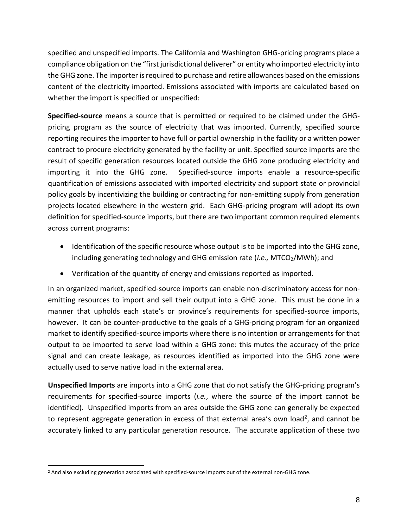specified and unspecified imports. The California and Washington GHG-pricing programs place a compliance obligation on the "first jurisdictional deliverer" or entity who imported electricity into the GHG zone. The importer is required to purchase and retire allowances based on the emissions content of the electricity imported. Emissions associated with imports are calculated based on whether the import is specified or unspecified:

**Specified-source** means a source that is permitted or required to be claimed under the GHGpricing program as the source of electricity that was imported. Currently, specified source reporting requires the importer to have full or partial ownership in the facility or a written power contract to procure electricity generated by the facility or unit. Specified source imports are the result of specific generation resources located outside the GHG zone producing electricity and importing it into the GHG zone. Specified-source imports enable a resource-specific quantification of emissions associated with imported electricity and support state or provincial policy goals by incentivizing the building or contracting for non-emitting supply from generation projects located elsewhere in the western grid. Each GHG-pricing program will adopt its own definition for specified-source imports, but there are two important common required elements across current programs:

- Identification of the specific resource whose output is to be imported into the GHG zone, including generating technology and GHG emission rate (i.e., MTCO<sub>2</sub>/MWh); and
- Verification of the quantity of energy and emissions reported as imported.

In an organized market, specified-source imports can enable non-discriminatory access for nonemitting resources to import and sell their output into a GHG zone. This must be done in a manner that upholds each state's or province's requirements for specified-source imports, however. It can be counter-productive to the goals of a GHG-pricing program for an organized market to identify specified-source imports where there is no intention or arrangements for that output to be imported to serve load within a GHG zone: this mutes the accuracy of the price signal and can create leakage, as resources identified as imported into the GHG zone were actually used to serve native load in the external area.

**Unspecified Imports** are imports into a GHG zone that do not satisfy the GHG-pricing program's requirements for specified-source imports (*i.e.*, where the source of the import cannot be identified). Unspecified imports from an area outside the GHG zone can generally be expected to represent aggregate generation in excess of that external area's own load<sup>2</sup>, and cannot be accurately linked to any particular generation resource. The accurate application of these two

<sup>&</sup>lt;sup>2</sup> And also excluding generation associated with specified-source imports out of the external non-GHG zone.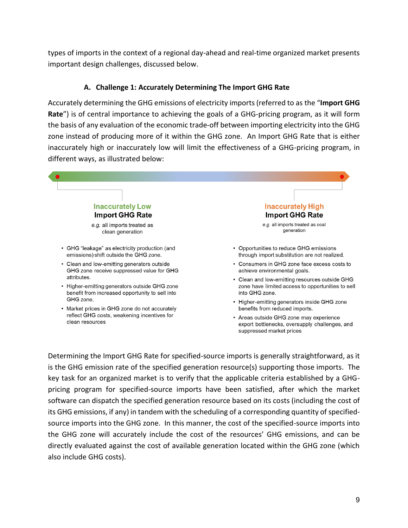types of imports in the context of a regional day-ahead and real-time organized market presents important design challenges, discussed below.

#### **A. Challenge 1: Accurately Determining The Import GHG Rate**

Accurately determining the GHG emissions of electricity imports (referred to as the "**Import GHG Rate**") is of central importance to achieving the goals of a GHG-pricing program, as it will form the basis of any evaluation of the economic trade-off between importing electricity into the GHG zone instead of producing more of it within the GHG zone. An Import GHG Rate that is either inaccurately high or inaccurately low will limit the effectiveness of a GHG-pricing program, in different ways, as illustrated below:



is the GHG emission rate of the specified generation resource(s) supporting those imports. The key task for an organized market is to verify that the applicable criteria established by a GHGpricing program for specified-source imports have been satisfied, after which the market software can dispatch the specified generation resource based on its costs (including the cost of its GHG emissions, if any) in tandem with the scheduling of a corresponding quantity of specifiedsource imports into the GHG zone. In this manner, the cost of the specified-source imports into the GHG zone will accurately include the cost of the resources' GHG emissions, and can be directly evaluated against the cost of available generation located within the GHG zone (which also include GHG costs).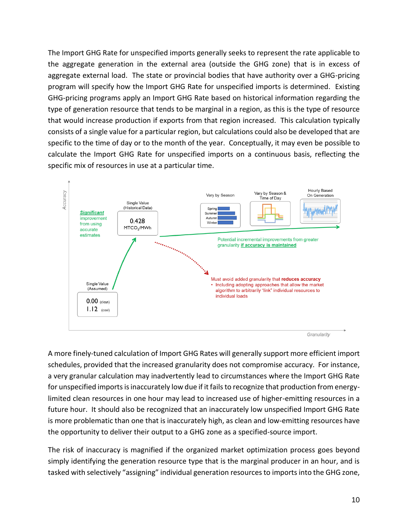The Import GHG Rate for unspecified imports generally seeks to represent the rate applicable to the aggregate generation in the external area (outside the GHG zone) that is in excess of aggregate external load. The state or provincial bodies that have authority over a GHG-pricing program will specify how the Import GHG Rate for unspecified imports is determined. Existing GHG-pricing programs apply an Import GHG Rate based on historical information regarding the type of generation resource that tends to be marginal in a region, as this is the type of resource that would increase production if exports from that region increased. This calculation typically consists of a single value for a particular region, but calculations could also be developed that are specific to the time of day or to the month of the year. Conceptually, it may even be possible to calculate the Import GHG Rate for unspecified imports on a continuous basis, reflecting the specific mix of resources in use at a particular time.



A more finely-tuned calculation of Import GHG Rates will generally support more efficient import schedules, provided that the increased granularity does not compromise accuracy. For instance, a very granular calculation may inadvertently lead to circumstances where the Import GHG Rate for unspecified imports is inaccurately low due if it fails to recognize that production from energylimited clean resources in one hour may lead to increased use of higher-emitting resources in a future hour. It should also be recognized that an inaccurately low unspecified Import GHG Rate is more problematic than one that is inaccurately high, as clean and low-emitting resources have the opportunity to deliver their output to a GHG zone as a specified-source import.

The risk of inaccuracy is magnified if the organized market optimization process goes beyond simply identifying the generation resource type that is the marginal producer in an hour, and is tasked with selectively "assigning" individual generation resources to imports into the GHG zone,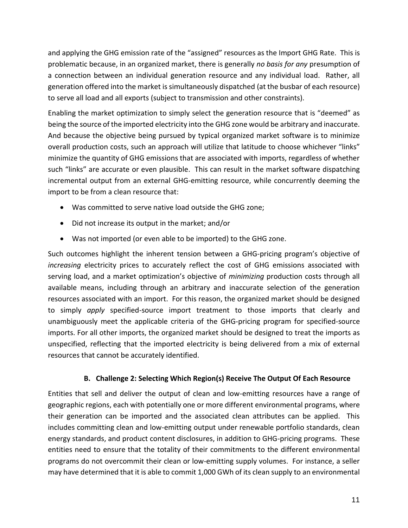and applying the GHG emission rate of the "assigned" resources as the Import GHG Rate. This is problematic because, in an organized market, there is generally *no basis for any* presumption of a connection between an individual generation resource and any individual load. Rather, all generation offered into the market is simultaneously dispatched (at the busbar of each resource) to serve all load and all exports (subject to transmission and other constraints).

Enabling the market optimization to simply select the generation resource that is "deemed" as being the source of the imported electricity into the GHG zone would be arbitrary and inaccurate. And because the objective being pursued by typical organized market software is to minimize overall production costs, such an approach will utilize that latitude to choose whichever "links" minimize the quantity of GHG emissions that are associated with imports, regardless of whether such "links" are accurate or even plausible. This can result in the market software dispatching incremental output from an external GHG-emitting resource, while concurrently deeming the import to be from a clean resource that:

- Was committed to serve native load outside the GHG zone;
- Did not increase its output in the market; and/or
- Was not imported (or even able to be imported) to the GHG zone.

Such outcomes highlight the inherent tension between a GHG-pricing program's objective of *increasing* electricity prices to accurately reflect the cost of GHG emissions associated with serving load, and a market optimization's objective of *minimizing* production costs through all available means, including through an arbitrary and inaccurate selection of the generation resources associated with an import. For this reason, the organized market should be designed to simply *apply* specified-source import treatment to those imports that clearly and unambiguously meet the applicable criteria of the GHG-pricing program for specified-source imports. For all other imports, the organized market should be designed to treat the imports as unspecified, reflecting that the imported electricity is being delivered from a mix of external resources that cannot be accurately identified.

#### **B. Challenge 2: Selecting Which Region(s) Receive The Output Of Each Resource**

Entities that sell and deliver the output of clean and low-emitting resources have a range of geographic regions, each with potentially one or more different environmental programs, where their generation can be imported and the associated clean attributes can be applied. This includes committing clean and low-emitting output under renewable portfolio standards, clean energy standards, and product content disclosures, in addition to GHG-pricing programs. These entities need to ensure that the totality of their commitments to the different environmental programs do not overcommit their clean or low-emitting supply volumes. For instance, a seller may have determined that it is able to commit 1,000 GWh of its clean supply to an environmental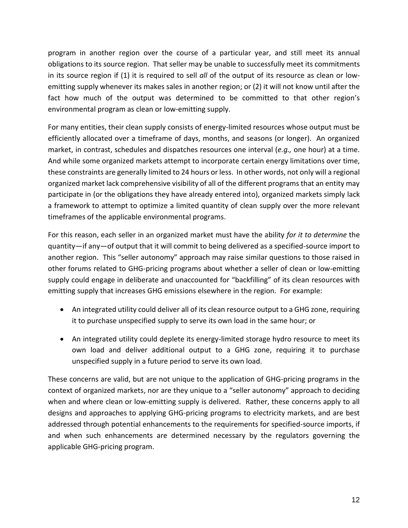program in another region over the course of a particular year, and still meet its annual obligations to its source region. That seller may be unable to successfully meet its commitments in its source region if (1) it is required to sell *all* of the output of its resource as clean or lowemitting supply whenever its makes sales in another region; or (2) it will not know until after the fact how much of the output was determined to be committed to that other region's environmental program as clean or low-emitting supply.

For many entities, their clean supply consists of energy-limited resources whose output must be efficiently allocated over a timeframe of days, months, and seasons (or longer). An organized market, in contrast, schedules and dispatches resources one interval (*e.g.,* one hour) at a time. And while some organized markets attempt to incorporate certain energy limitations over time, these constraints are generally limited to 24 hours or less. In other words, not only will a regional organized market lack comprehensive visibility of all of the different programs that an entity may participate in (or the obligations they have already entered into), organized markets simply lack a framework to attempt to optimize a limited quantity of clean supply over the more relevant timeframes of the applicable environmental programs.

For this reason, each seller in an organized market must have the ability *for it to determine* the quantity—if any—of output that it will commit to being delivered as a specified-source import to another region. This "seller autonomy" approach may raise similar questions to those raised in other forums related to GHG-pricing programs about whether a seller of clean or low-emitting supply could engage in deliberate and unaccounted for "backfilling" of its clean resources with emitting supply that increases GHG emissions elsewhere in the region. For example:

- An integrated utility could deliver all of its clean resource output to a GHG zone, requiring it to purchase unspecified supply to serve its own load in the same hour; or
- An integrated utility could deplete its energy-limited storage hydro resource to meet its own load and deliver additional output to a GHG zone, requiring it to purchase unspecified supply in a future period to serve its own load.

These concerns are valid, but are not unique to the application of GHG-pricing programs in the context of organized markets, nor are they unique to a "seller autonomy" approach to deciding when and where clean or low-emitting supply is delivered. Rather, these concerns apply to all designs and approaches to applying GHG-pricing programs to electricity markets, and are best addressed through potential enhancements to the requirements for specified-source imports, if and when such enhancements are determined necessary by the regulators governing the applicable GHG-pricing program.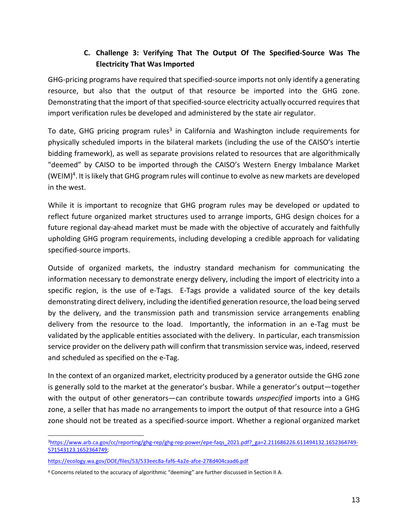# **C. Challenge 3: Verifying That The Output Of The Specified-Source Was The Electricity That Was Imported**

GHG-pricing programs have required that specified-source imports not only identify a generating resource, but also that the output of that resource be imported into the GHG zone. Demonstrating that the import of that specified-source electricity actually occurred requires that import verification rules be developed and administered by the state air regulator.

To date, GHG pricing program rules<sup>3</sup> in California and Washington include requirements for physically scheduled imports in the bilateral markets (including the use of the CAISO's intertie bidding framework), as well as separate provisions related to resources that are algorithmically "deemed" by CAISO to be imported through the CAISO's Western Energy Imbalance Market (WEIM)<sup>4</sup>. It is likely that GHG program rules will continue to evolve as new markets are developed in the west.

While it is important to recognize that GHG program rules may be developed or updated to reflect future organized market structures used to arrange imports, GHG design choices for a future regional day-ahead market must be made with the objective of accurately and faithfully upholding GHG program requirements, including developing a credible approach for validating specified-source imports.

Outside of organized markets, the industry standard mechanism for communicating the information necessary to demonstrate energy delivery, including the import of electricity into a specific region, is the use of e-Tags. E-Tags provide a validated source of the key details demonstrating direct delivery, including the identified generation resource, the load being served by the delivery, and the transmission path and transmission service arrangements enabling delivery from the resource to the load. Importantly, the information in an e-Tag must be validated by the applicable entities associated with the delivery. In particular, each transmission service provider on the delivery path will confirm that transmission service was, indeed, reserved and scheduled as specified on the e-Tag.

In the context of an organized market, electricity produced by a generator outside the GHG zone is generally sold to the market at the generator's busbar. While a generator's output—together with the output of other generators—can contribute towards *unspecified* imports into a GHG zone, a seller that has made no arrangements to import the output of that resource into a GHG zone should not be treated as a specified-source import. Whether a regional organized market

<sup>&</sup>lt;sup>3</sup>[https://www.arb.ca.gov/cc/reporting/ghg-rep/ghg-rep-power/epe-faqs\\_2021.pdf?\\_ga=2.211686226.611494132.1652364749-](https://www.arb.ca.gov/cc/reporting/ghg-rep/ghg-rep-power/epe-faqs_2021.pdf?_ga=2.211686226.611494132.1652364749-571543123.1652364749) [571543123.1652364749;](https://www.arb.ca.gov/cc/reporting/ghg-rep/ghg-rep-power/epe-faqs_2021.pdf?_ga=2.211686226.611494132.1652364749-571543123.1652364749)

<https://ecology.wa.gov/DOE/files/53/533eec8a-faf6-4a2e-afce-278d404caad6.pdf>

<sup>4</sup> Concerns related to the accuracy of algorithmic "deeming" are further discussed in Section II A.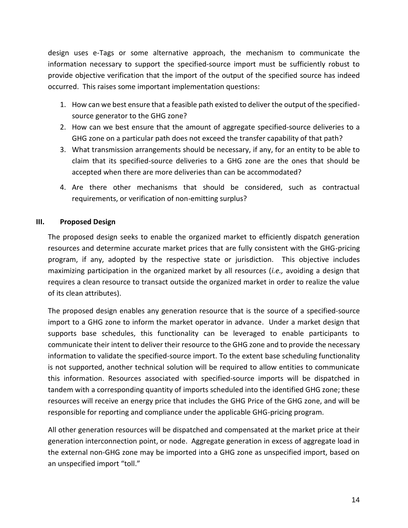design uses e-Tags or some alternative approach, the mechanism to communicate the information necessary to support the specified-source import must be sufficiently robust to provide objective verification that the import of the output of the specified source has indeed occurred. This raises some important implementation questions:

- 1. How can we best ensure that a feasible path existed to deliver the output of the specifiedsource generator to the GHG zone?
- 2. How can we best ensure that the amount of aggregate specified-source deliveries to a GHG zone on a particular path does not exceed the transfer capability of that path?
- 3. What transmission arrangements should be necessary, if any, for an entity to be able to claim that its specified-source deliveries to a GHG zone are the ones that should be accepted when there are more deliveries than can be accommodated?
- 4. Are there other mechanisms that should be considered, such as contractual requirements, or verification of non-emitting surplus?

#### **III. Proposed Design**

The proposed design seeks to enable the organized market to efficiently dispatch generation resources and determine accurate market prices that are fully consistent with the GHG-pricing program, if any, adopted by the respective state or jurisdiction. This objective includes maximizing participation in the organized market by all resources (*i.e.,* avoiding a design that requires a clean resource to transact outside the organized market in order to realize the value of its clean attributes).

The proposed design enables any generation resource that is the source of a specified-source import to a GHG zone to inform the market operator in advance. Under a market design that supports base schedules, this functionality can be leveraged to enable participants to communicate their intent to deliver their resource to the GHG zone and to provide the necessary information to validate the specified-source import. To the extent base scheduling functionality is not supported, another technical solution will be required to allow entities to communicate this information. Resources associated with specified-source imports will be dispatched in tandem with a corresponding quantity of imports scheduled into the identified GHG zone; these resources will receive an energy price that includes the GHG Price of the GHG zone, and will be responsible for reporting and compliance under the applicable GHG-pricing program.

All other generation resources will be dispatched and compensated at the market price at their generation interconnection point, or node. Aggregate generation in excess of aggregate load in the external non-GHG zone may be imported into a GHG zone as unspecified import, based on an unspecified import "toll."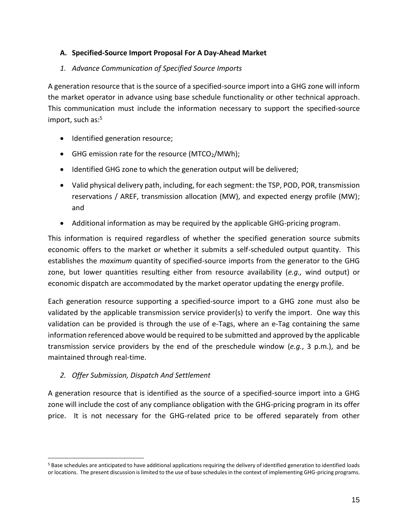#### **A. Specified-Source Import Proposal For A Day-Ahead Market**

#### *1. Advance Communication of Specified Source Imports*

A generation resource that is the source of a specified-source import into a GHG zone will inform the market operator in advance using base schedule functionality or other technical approach. This communication must include the information necessary to support the specified-source import, such as: 5

- Identified generation resource;
- GHG emission rate for the resource (MTCO $_2$ /MWh);
- Identified GHG zone to which the generation output will be delivered;
- Valid physical delivery path, including, for each segment: the TSP, POD, POR, transmission reservations / AREF, transmission allocation (MW), and expected energy profile (MW); and
- Additional information as may be required by the applicable GHG-pricing program.

This information is required regardless of whether the specified generation source submits economic offers to the market or whether it submits a self-scheduled output quantity. This establishes the *maximum* quantity of specified-source imports from the generator to the GHG zone, but lower quantities resulting either from resource availability (*e.g.,* wind output) or economic dispatch are accommodated by the market operator updating the energy profile.

Each generation resource supporting a specified-source import to a GHG zone must also be validated by the applicable transmission service provider(s) to verify the import. One way this validation can be provided is through the use of e-Tags, where an e-Tag containing the same information referenced above would be required to be submitted and approved by the applicable transmission service providers by the end of the preschedule window (*e.g.*, 3 p.m.), and be maintained through real-time.

# *2. Offer Submission, Dispatch And Settlement*

A generation resource that is identified as the source of a specified-source import into a GHG zone will include the cost of any compliance obligation with the GHG-pricing program in its offer price. It is not necessary for the GHG-related price to be offered separately from other

<sup>5</sup> Base schedules are anticipated to have additional applications requiring the delivery of identified generation to identified loads or locations. The present discussion is limited to the use of base schedules in the context of implementing GHG-pricing programs.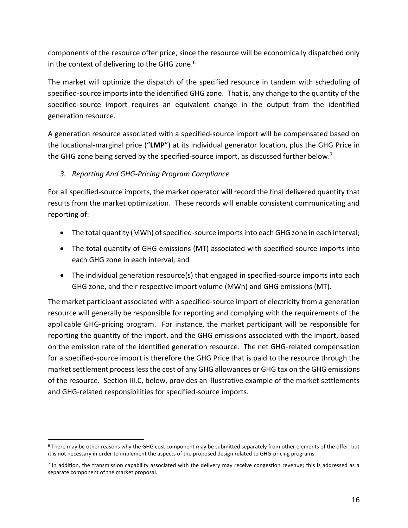components of the resource offer price, since the resource will be economically dispatched only in the context of delivering to the GHG zone.<sup>6</sup>

The market will optimize the dispatch of the specified resource in tandem with scheduling of specified-source imports into the identified GHG zone. That is, any change to the quantity of the specified-source import requires an equivalent change in the output from the identified generation resource.

A generation resource associated with a specified-source import will be compensated based on the locational-marginal price ("**LMP**") at its individual generator location, plus the GHG Price in the GHG zone being served by the specified-source import, as discussed further below.<sup>7</sup>

# *3. Reporting And GHG-Pricing Program Compliance*

For all specified-source imports, the market operator will record the final delivered quantity that results from the market optimization. These records will enable consistent communicating and reporting of:

- The total quantity (MWh) of specified-source imports into each GHG zone in each interval;
- The total quantity of GHG emissions (MT) associated with specified-source imports into each GHG zone in each interval; and
- The individual generation resource(s) that engaged in specified-source imports into each GHG zone, and their respective import volume (MWh) and GHG emissions (MT).

The market participant associated with a specified-source import of electricity from a generation resource will generally be responsible for reporting and complying with the requirements of the applicable GHG-pricing program. For instance, the market participant will be responsible for reporting the quantity of the import, and the GHG emissions associated with the import, based on the emission rate of the identified generation resource. The net GHG-related compensation for a specified-source import is therefore the GHG Price that is paid to the resource through the market settlement process less the cost of any GHG allowances or GHG tax on the GHG emissions of the resource. Section III.C, below, provides an illustrative example of the market settlements and GHG-related responsibilities for specified-source imports.

<sup>6</sup> There may be other reasons why the GHG cost component may be submitted separately from other elements of the offer, but it is not necessary in order to implement the aspects of the proposed design related to GHG-pricing programs.

<sup>7</sup> In addition, the transmission capability associated with the delivery may receive congestion revenue; this is addressed as a separate component of the market proposal.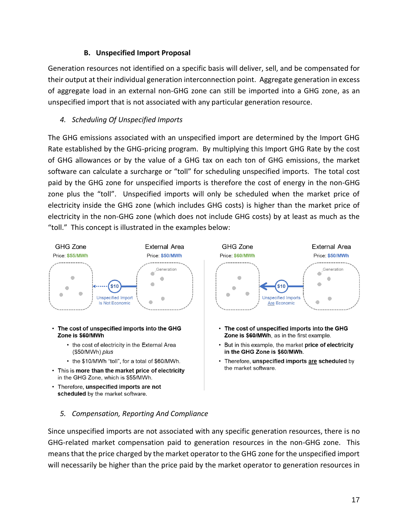#### **B. Unspecified Import Proposal**

Generation resources not identified on a specific basis will deliver, sell, and be compensated for their output at their individual generation interconnection point. Aggregate generation in excess of aggregate load in an external non-GHG zone can still be imported into a GHG zone, as an unspecified import that is not associated with any particular generation resource.

#### *4. Scheduling Of Unspecified Imports*

The GHG emissions associated with an unspecified import are determined by the Import GHG Rate established by the GHG-pricing program. By multiplying this Import GHG Rate by the cost of GHG allowances or by the value of a GHG tax on each ton of GHG emissions, the market software can calculate a surcharge or "toll" for scheduling unspecified imports. The total cost paid by the GHG zone for unspecified imports is therefore the cost of energy in the non-GHG zone plus the "toll". Unspecified imports will only be scheduled when the market price of electricity inside the GHG zone (which includes GHG costs) is higher than the market price of electricity in the non-GHG zone (which does not include GHG costs) by at least as much as the "toll." This concept is illustrated in the examples below:



- Zone is \$60/MWh the cost of electricity in the External Area
	- (\$50/MWh) plus
	- the \$10/MWh "toll", for a total of \$60/MWh.
- This is more than the market price of electricity in the GHG Zone, which is \$55/MWh.
- Therefore, unspecified imports are not scheduled by the market software.
- Zone is \$60/MWh, as in the first example.
- But in this example, the market price of electricity in the GHG Zone is \$60/MWh.
- Therefore, unspecified imports are scheduled by the market software.
- *5. Compensation, Reporting And Compliance*

Since unspecified imports are not associated with any specific generation resources, there is no GHG-related market compensation paid to generation resources in the non-GHG zone. This means that the price charged by the market operator to the GHG zone for the unspecified import will necessarily be higher than the price paid by the market operator to generation resources in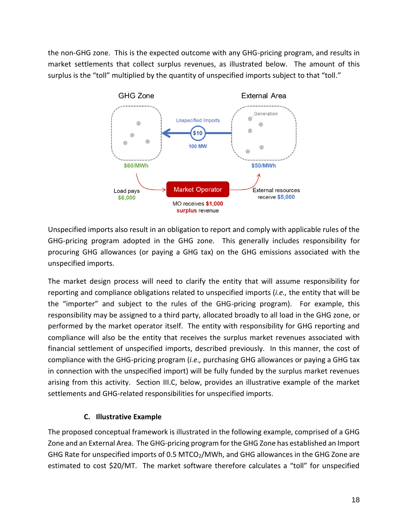the non-GHG zone. This is the expected outcome with any GHG-pricing program, and results in market settlements that collect surplus revenues, as illustrated below. The amount of this surplus is the "toll" multiplied by the quantity of unspecified imports subject to that "toll."



Unspecified imports also result in an obligation to report and comply with applicable rules of the GHG-pricing program adopted in the GHG zone. This generally includes responsibility for procuring GHG allowances (or paying a GHG tax) on the GHG emissions associated with the unspecified imports.

The market design process will need to clarify the entity that will assume responsibility for reporting and compliance obligations related to unspecified imports (*i.e.,* the entity that will be the "importer" and subject to the rules of the GHG-pricing program). For example, this responsibility may be assigned to a third party, allocated broadly to all load in the GHG zone, or performed by the market operator itself. The entity with responsibility for GHG reporting and compliance will also be the entity that receives the surplus market revenues associated with financial settlement of unspecified imports, described previously. In this manner, the cost of compliance with the GHG-pricing program (*i.e.,* purchasing GHG allowances or paying a GHG tax in connection with the unspecified import) will be fully funded by the surplus market revenues arising from this activity. Section III.C, below, provides an illustrative example of the market settlements and GHG-related responsibilities for unspecified imports.

# **C. Illustrative Example**

The proposed conceptual framework is illustrated in the following example, comprised of a GHG Zone and an External Area. The GHG-pricing program for the GHG Zone has established an Import GHG Rate for unspecified imports of 0.5 MTCO<sub>2</sub>/MWh, and GHG allowances in the GHG Zone are estimated to cost \$20/MT. The market software therefore calculates a "toll" for unspecified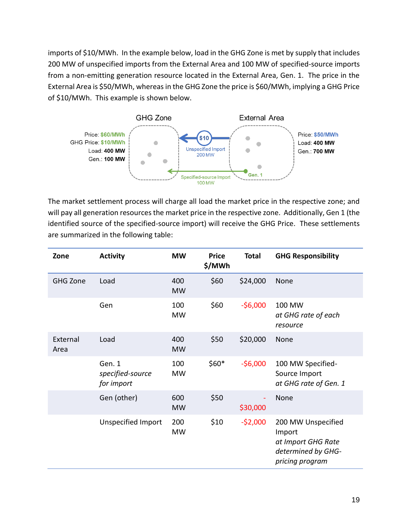imports of \$10/MWh. In the example below, load in the GHG Zone is met by supply that includes 200 MW of unspecified imports from the External Area and 100 MW of specified-source imports from a non-emitting generation resource located in the External Area, Gen. 1. The price in the External Area is \$50/MWh, whereas in the GHG Zone the price is \$60/MWh, implying a GHG Price of \$10/MWh. This example is shown below.



The market settlement process will charge all load the market price in the respective zone; and will pay all generation resources the market price in the respective zone. Additionally, Gen 1 (the identified source of the specified-source import) will receive the GHG Price. These settlements are summarized in the following table:

| Zone             | <b>Activity</b>                          | <b>MW</b>        | <b>Price</b><br>\$/MWh | <b>Total</b> | <b>GHG Responsibility</b>                                                                   |
|------------------|------------------------------------------|------------------|------------------------|--------------|---------------------------------------------------------------------------------------------|
| <b>GHG Zone</b>  | Load                                     | 400<br><b>MW</b> | \$60                   | \$24,000     | None                                                                                        |
|                  | Gen                                      | 100<br><b>MW</b> | \$60                   | $-56,000$    | 100 MW<br>at GHG rate of each<br>resource                                                   |
| External<br>Area | Load                                     | 400<br><b>MW</b> | \$50                   | \$20,000     | <b>None</b>                                                                                 |
|                  | Gen. 1<br>specified-source<br>for import | 100<br><b>MW</b> | $$60*$                 | $-56,000$    | 100 MW Specified-<br>Source Import<br>at GHG rate of Gen. 1                                 |
|                  | Gen (other)                              | 600<br><b>MW</b> | \$50                   | \$30,000     | None                                                                                        |
|                  | <b>Unspecified Import</b>                | 200<br><b>MW</b> | \$10                   | $-52,000$    | 200 MW Unspecified<br>Import<br>at Import GHG Rate<br>determined by GHG-<br>pricing program |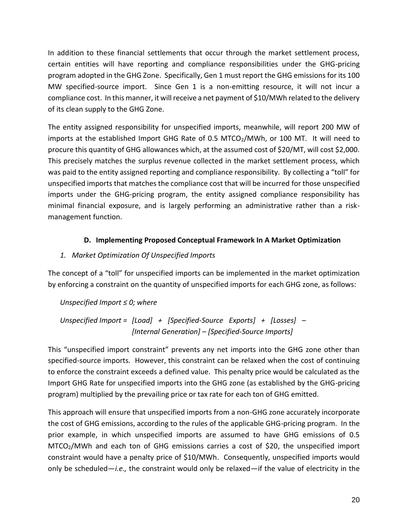In addition to these financial settlements that occur through the market settlement process, certain entities will have reporting and compliance responsibilities under the GHG-pricing program adopted in the GHG Zone. Specifically, Gen 1 must report the GHG emissions for its 100 MW specified-source import. Since Gen 1 is a non-emitting resource, it will not incur a compliance cost. In this manner, it will receive a net payment of \$10/MWh related to the delivery of its clean supply to the GHG Zone.

The entity assigned responsibility for unspecified imports, meanwhile, will report 200 MW of imports at the established Import GHG Rate of 0.5 MTCO $_2$ /MWh, or 100 MT. It will need to procure this quantity of GHG allowances which, at the assumed cost of \$20/MT, will cost \$2,000. This precisely matches the surplus revenue collected in the market settlement process, which was paid to the entity assigned reporting and compliance responsibility. By collecting a "toll" for unspecified imports that matches the compliance cost that will be incurred for those unspecified imports under the GHG-pricing program, the entity assigned compliance responsibility has minimal financial exposure, and is largely performing an administrative rather than a riskmanagement function.

# **D. Implementing Proposed Conceptual Framework In A Market Optimization**

# *1. Market Optimization Of Unspecified Imports*

The concept of a "toll" for unspecified imports can be implemented in the market optimization by enforcing a constraint on the quantity of unspecified imports for each GHG zone, as follows:

*Unspecified Import ≤ 0; where*

*Unspecified Import = [Load] + [Specified-Source Exports] + [Losses] – [Internal Generation] – [Specified-Source Imports]*

This "unspecified import constraint" prevents any net imports into the GHG zone other than specified-source imports. However, this constraint can be relaxed when the cost of continuing to enforce the constraint exceeds a defined value. This penalty price would be calculated as the Import GHG Rate for unspecified imports into the GHG zone (as established by the GHG-pricing program) multiplied by the prevailing price or tax rate for each ton of GHG emitted.

This approach will ensure that unspecified imports from a non-GHG zone accurately incorporate the cost of GHG emissions, according to the rules of the applicable GHG-pricing program. In the prior example, in which unspecified imports are assumed to have GHG emissions of 0.5 MTCO2/MWh and each ton of GHG emissions carries a cost of \$20, the unspecified import constraint would have a penalty price of \$10/MWh. Consequently, unspecified imports would only be scheduled—*i.e.,* the constraint would only be relaxed—if the value of electricity in the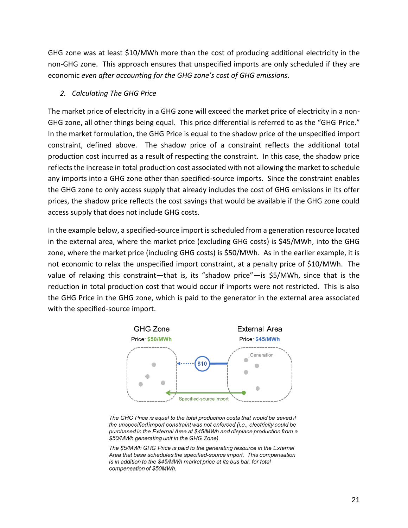GHG zone was at least \$10/MWh more than the cost of producing additional electricity in the non-GHG zone. This approach ensures that unspecified imports are only scheduled if they are economic *even after accounting for the GHG zone's cost of GHG emissions.*

#### *2. Calculating The GHG Price*

The market price of electricity in a GHG zone will exceed the market price of electricity in a non-GHG zone, all other things being equal. This price differential is referred to as the "GHG Price." In the market formulation, the GHG Price is equal to the shadow price of the unspecified import constraint, defined above. The shadow price of a constraint reflects the additional total production cost incurred as a result of respecting the constraint. In this case, the shadow price reflects the increase in total production cost associated with not allowing the market to schedule any imports into a GHG zone other than specified-source imports. Since the constraint enables the GHG zone to only access supply that already includes the cost of GHG emissions in its offer prices, the shadow price reflects the cost savings that would be available if the GHG zone could access supply that does not include GHG costs.

In the example below, a specified-source import is scheduled from a generation resource located in the external area, where the market price (excluding GHG costs) is \$45/MWh, into the GHG zone, where the market price (including GHG costs) is \$50/MWh. As in the earlier example, it is not economic to relax the unspecified import constraint, at a penalty price of \$10/MWh. The value of relaxing this constraint—that is, its "shadow price"—is \$5/MWh, since that is the reduction in total production cost that would occur if imports were not restricted. This is also the GHG Price in the GHG zone, which is paid to the generator in the external area associated with the specified-source import.



The GHG Price is equal to the total production costs that would be saved if the unspecified import constraint was not enforced (i.e., electricity could be purchased in the External Area at \$45/MWh and displace production from a \$50/MWh generating unit in the GHG Zone).

The \$5/MWh GHG Price is paid to the generating resource in the External Area that base schedules the specified-source import. This compensation is in addition to the \$45/MWh market price at its bus bar, for total compensation of \$50MWh.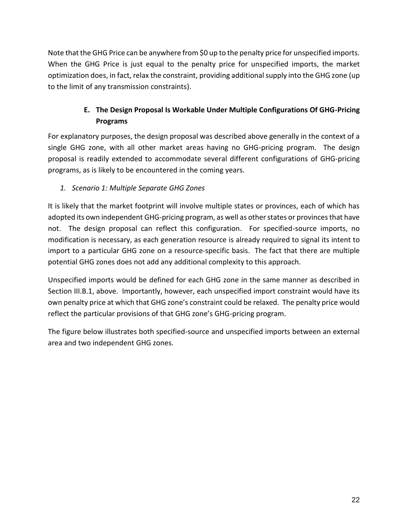Note that the GHG Price can be anywhere from \$0 up to the penalty price for unspecified imports. When the GHG Price is just equal to the penalty price for unspecified imports, the market optimization does, in fact, relax the constraint, providing additional supply into the GHG zone (up to the limit of any transmission constraints).

# **E. The Design Proposal Is Workable Under Multiple Configurations Of GHG-Pricing Programs**

For explanatory purposes, the design proposal was described above generally in the context of a single GHG zone, with all other market areas having no GHG-pricing program. The design proposal is readily extended to accommodate several different configurations of GHG-pricing programs, as is likely to be encountered in the coming years.

# *1. Scenario 1: Multiple Separate GHG Zones*

It is likely that the market footprint will involve multiple states or provinces, each of which has adopted its own independent GHG-pricing program, as well as other states or provinces that have not. The design proposal can reflect this configuration. For specified-source imports, no modification is necessary, as each generation resource is already required to signal its intent to import to a particular GHG zone on a resource-specific basis. The fact that there are multiple potential GHG zones does not add any additional complexity to this approach.

Unspecified imports would be defined for each GHG zone in the same manner as described in Section III.B.1, above. Importantly, however, each unspecified import constraint would have its own penalty price at which that GHG zone's constraint could be relaxed. The penalty price would reflect the particular provisions of that GHG zone's GHG-pricing program.

The figure below illustrates both specified-source and unspecified imports between an external area and two independent GHG zones.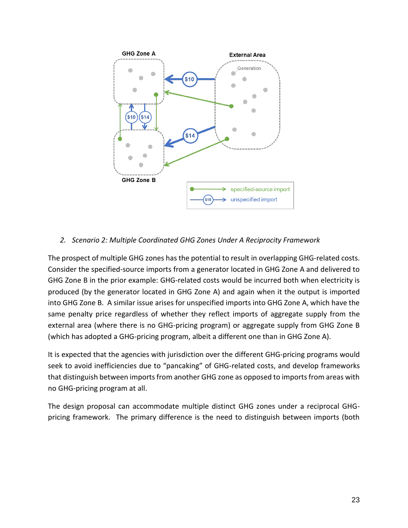

#### *2. Scenario 2: Multiple Coordinated GHG Zones Under A Reciprocity Framework*

The prospect of multiple GHG zones has the potential to result in overlapping GHG-related costs. Consider the specified-source imports from a generator located in GHG Zone A and delivered to GHG Zone B in the prior example: GHG-related costs would be incurred both when electricity is produced (by the generator located in GHG Zone A) and again when it the output is imported into GHG Zone B. A similar issue arises for unspecified imports into GHG Zone A, which have the same penalty price regardless of whether they reflect imports of aggregate supply from the external area (where there is no GHG-pricing program) or aggregate supply from GHG Zone B (which has adopted a GHG-pricing program, albeit a different one than in GHG Zone A).

It is expected that the agencies with jurisdiction over the different GHG-pricing programs would seek to avoid inefficiencies due to "pancaking" of GHG-related costs, and develop frameworks that distinguish between imports from another GHG zone as opposed to imports from areas with no GHG-pricing program at all.

The design proposal can accommodate multiple distinct GHG zones under a reciprocal GHGpricing framework. The primary difference is the need to distinguish between imports (both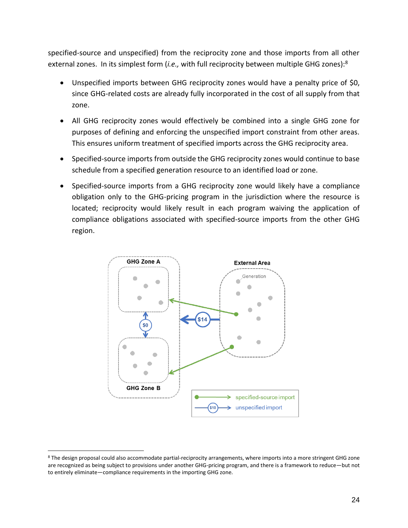specified-source and unspecified) from the reciprocity zone and those imports from all other external zones. In its simplest form (*i.e.,* with full reciprocity between multiple GHG zones):<sup>8</sup>

- Unspecified imports between GHG reciprocity zones would have a penalty price of \$0, since GHG-related costs are already fully incorporated in the cost of all supply from that zone.
- All GHG reciprocity zones would effectively be combined into a single GHG zone for purposes of defining and enforcing the unspecified import constraint from other areas. This ensures uniform treatment of specified imports across the GHG reciprocity area.
- Specified-source imports from outside the GHG reciprocity zones would continue to base schedule from a specified generation resource to an identified load or zone.
- Specified-source imports from a GHG reciprocity zone would likely have a compliance obligation only to the GHG-pricing program in the jurisdiction where the resource is located; reciprocity would likely result in each program waiving the application of compliance obligations associated with specified-source imports from the other GHG region.



<sup>8</sup> The design proposal could also accommodate partial-reciprocity arrangements, where imports into a more stringent GHG zone are recognized as being subject to provisions under another GHG-pricing program, and there is a framework to reduce—but not to entirely eliminate—compliance requirements in the importing GHG zone.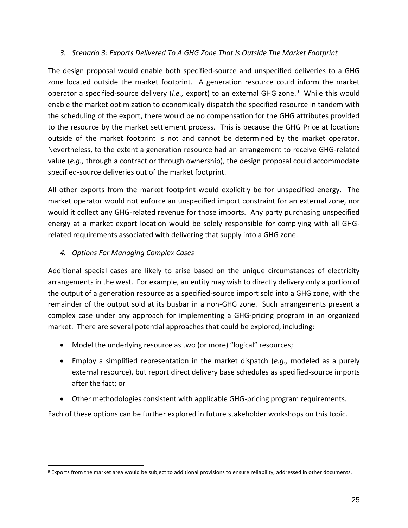#### *3. Scenario 3: Exports Delivered To A GHG Zone That Is Outside The Market Footprint*

The design proposal would enable both specified-source and unspecified deliveries to a GHG zone located outside the market footprint. A generation resource could inform the market operator a specified-source delivery (*i.e.,* export) to an external GHG zone. 9 While this would enable the market optimization to economically dispatch the specified resource in tandem with the scheduling of the export, there would be no compensation for the GHG attributes provided to the resource by the market settlement process. This is because the GHG Price at locations outside of the market footprint is not and cannot be determined by the market operator. Nevertheless, to the extent a generation resource had an arrangement to receive GHG-related value (*e.g.,* through a contract or through ownership), the design proposal could accommodate specified-source deliveries out of the market footprint.

All other exports from the market footprint would explicitly be for unspecified energy. The market operator would not enforce an unspecified import constraint for an external zone, nor would it collect any GHG-related revenue for those imports. Any party purchasing unspecified energy at a market export location would be solely responsible for complying with all GHGrelated requirements associated with delivering that supply into a GHG zone.

# *4. Options For Managing Complex Cases*

Additional special cases are likely to arise based on the unique circumstances of electricity arrangements in the west. For example, an entity may wish to directly delivery only a portion of the output of a generation resource as a specified-source import sold into a GHG zone, with the remainder of the output sold at its busbar in a non-GHG zone. Such arrangements present a complex case under any approach for implementing a GHG-pricing program in an organized market. There are several potential approaches that could be explored, including:

- Model the underlying resource as two (or more) "logical" resources;
- Employ a simplified representation in the market dispatch (*e.g.,* modeled as a purely external resource), but report direct delivery base schedules as specified-source imports after the fact; or
- Other methodologies consistent with applicable GHG-pricing program requirements.

Each of these options can be further explored in future stakeholder workshops on this topic.

<sup>9</sup> Exports from the market area would be subject to additional provisions to ensure reliability, addressed in other documents.